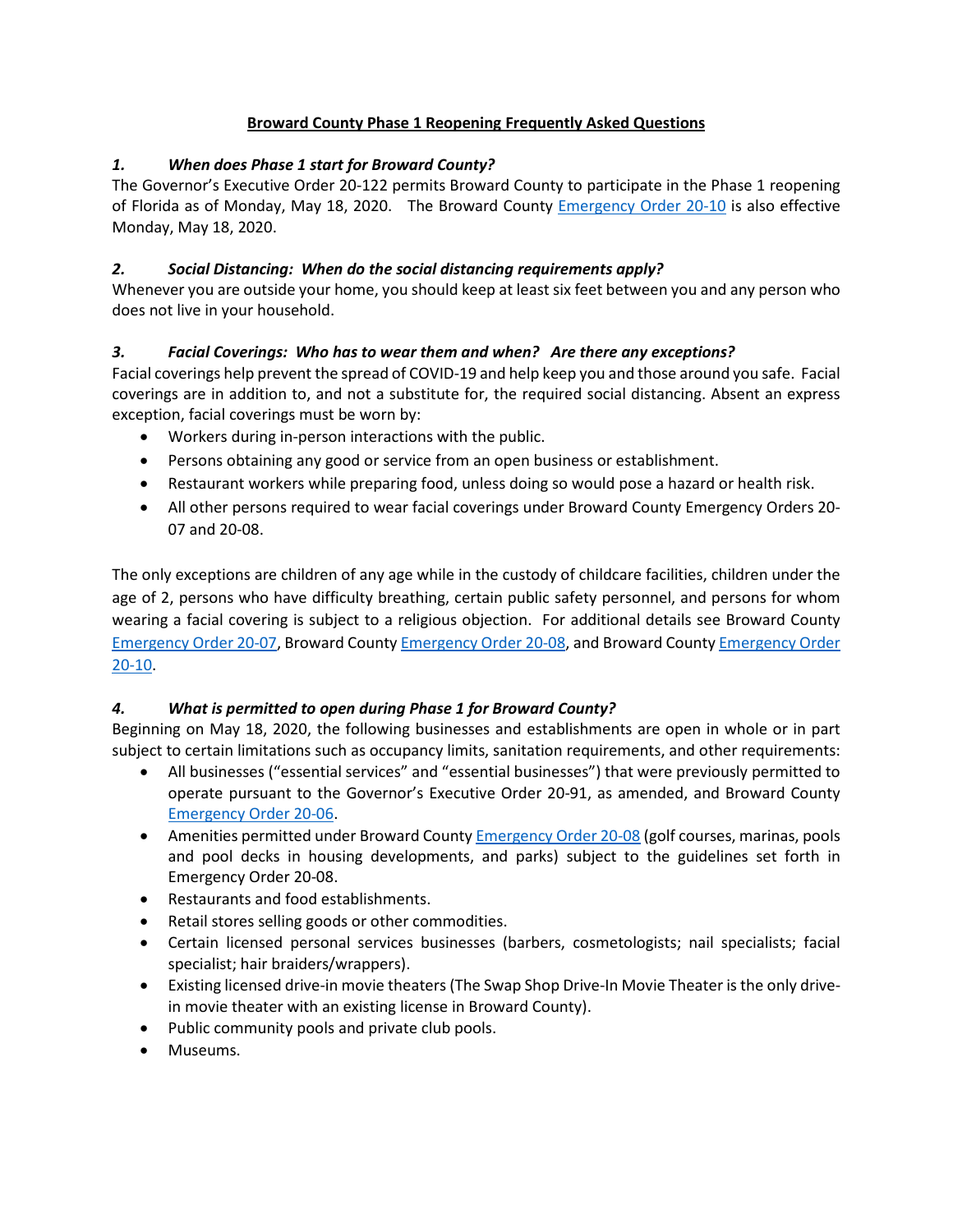#### **Broward County Phase 1 Reopening Frequently Asked Questions**

#### *1. When does Phase 1 start for Broward County?*

The Governor's Executive Order 20-122 permits Broward County to participate in the Phase 1 reopening of Florida as of Monday, May 18, 2020. The Broward County [Emergency Order 20-10](https://www.broward.org/CoronaVirus/Documents/EmergencyOrder20-10.pdf) is also effective Monday, May 18, 2020.

#### *2. Social Distancing: When do the social distancing requirements apply?*

Whenever you are outside your home, you should keep at least six feet between you and any person who does not live in your household.

#### *3. Facial Coverings: Who has to wear them and when? Are there any exceptions?*

Facial coverings help prevent the spread of COVID-19 and help keep you and those around you safe. Facial coverings are in addition to, and not a substitute for, the required social distancing. Absent an express exception, facial coverings must be worn by:

- Workers during in-person interactions with the public.
- Persons obtaining any good or service from an open business or establishment.
- Restaurant workers while preparing food, unless doing so would pose a hazard or health risk.
- All other persons required to wear facial coverings under Broward County Emergency Orders 20- 07 and 20-08.

The only exceptions are children of any age while in the custody of childcare facilities, children under the age of 2, persons who have difficulty breathing, certain public safety personnel, and persons for whom wearing a facial covering is subject to a religious objection. For additional details see Broward County [Emergency Order 20-07,](https://www.broward.org/CoronaVirus/Documents/2020-0410%20-%20Emergency%20Order%2020-07.pdf) Broward Count[y Emergency Order 20-08,](https://www.broward.org/CoronaVirus/Documents/EmergencyOrder20-08.pdf) and Broward County [Emergency Order](https://www.broward.org/CoronaVirus/Documents/EmergencyOrder20-10.pdf)  [20-10.](https://www.broward.org/CoronaVirus/Documents/EmergencyOrder20-10.pdf)

#### *4. What is permitted to open during Phase 1 for Broward County?*

Beginning on May 18, 2020, the following businesses and establishments are open in whole or in part subject to certain limitations such as occupancy limits, sanitation requirements, and other requirements:

- All businesses ("essential services" and "essential businesses") that were previously permitted to operate pursuant to the Governor's Executive Order 20-91, as amended, and Broward County [Emergency Order 20-06.](https://www.broward.org/CoronaVirus/Documents/Emergency%20Order%2020-06.pdf)
- Amenities permitted under Broward County **Emergency Order 20-08** (golf courses, marinas, pools and pool decks in housing developments, and parks) subject to the guidelines set forth in Emergency Order 20-08.
- Restaurants and food establishments.
- Retail stores selling goods or other commodities.
- Certain licensed personal services businesses (barbers, cosmetologists; nail specialists; facial specialist; hair braiders/wrappers).
- Existing licensed drive-in movie theaters(The Swap Shop Drive-In Movie Theater is the only drivein movie theater with an existing license in Broward County).
- Public community pools and private club pools.
- Museums.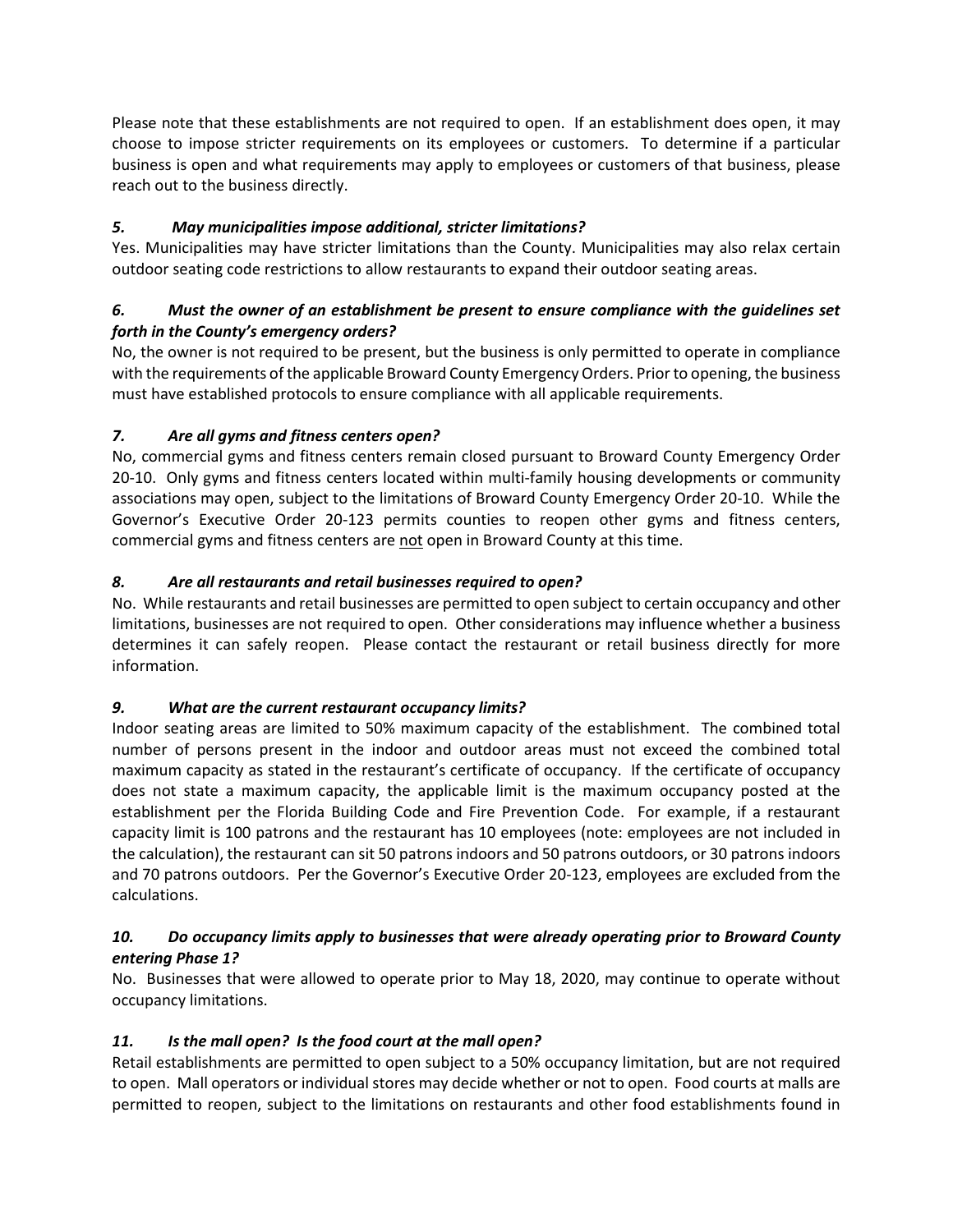Please note that these establishments are not required to open. If an establishment does open, it may choose to impose stricter requirements on its employees or customers. To determine if a particular business is open and what requirements may apply to employees or customers of that business, please reach out to the business directly.

# *5. May municipalities impose additional, stricter limitations?*

Yes. Municipalities may have stricter limitations than the County. Municipalities may also relax certain outdoor seating code restrictions to allow restaurants to expand their outdoor seating areas.

## *6. Must the owner of an establishment be present to ensure compliance with the guidelines set forth in the County's emergency orders?*

No, the owner is not required to be present, but the business is only permitted to operate in compliance with the requirements of the applicable Broward County Emergency Orders. Prior to opening, the business must have established protocols to ensure compliance with all applicable requirements.

# *7. Are all gyms and fitness centers open?*

No, commercial gyms and fitness centers remain closed pursuant to Broward County Emergency Order 20-10. Only gyms and fitness centers located within multi-family housing developments or community associations may open, subject to the limitations of Broward County Emergency Order 20-10. While the Governor's Executive Order 20-123 permits counties to reopen other gyms and fitness centers, commercial gyms and fitness centers are not open in Broward County at this time.

# *8. Are all restaurants and retail businesses required to open?*

No. While restaurants and retail businesses are permitted to open subject to certain occupancy and other limitations, businesses are not required to open. Other considerations may influence whether a business determines it can safely reopen. Please contact the restaurant or retail business directly for more information.

# *9. What are the current restaurant occupancy limits?*

Indoor seating areas are limited to 50% maximum capacity of the establishment. The combined total number of persons present in the indoor and outdoor areas must not exceed the combined total maximum capacity as stated in the restaurant's certificate of occupancy. If the certificate of occupancy does not state a maximum capacity, the applicable limit is the maximum occupancy posted at the establishment per the Florida Building Code and Fire Prevention Code. For example, if a restaurant capacity limit is 100 patrons and the restaurant has 10 employees (note: employees are not included in the calculation), the restaurant can sit 50 patrons indoors and 50 patrons outdoors, or 30 patrons indoors and 70 patrons outdoors. Per the Governor's Executive Order 20-123, employees are excluded from the calculations.

# *10. Do occupancy limits apply to businesses that were already operating prior to Broward County entering Phase 1?*

No. Businesses that were allowed to operate prior to May 18, 2020, may continue to operate without occupancy limitations.

# *11. Is the mall open? Is the food court at the mall open?*

Retail establishments are permitted to open subject to a 50% occupancy limitation, but are not required to open. Mall operators or individual stores may decide whether or not to open. Food courts at malls are permitted to reopen, subject to the limitations on restaurants and other food establishments found in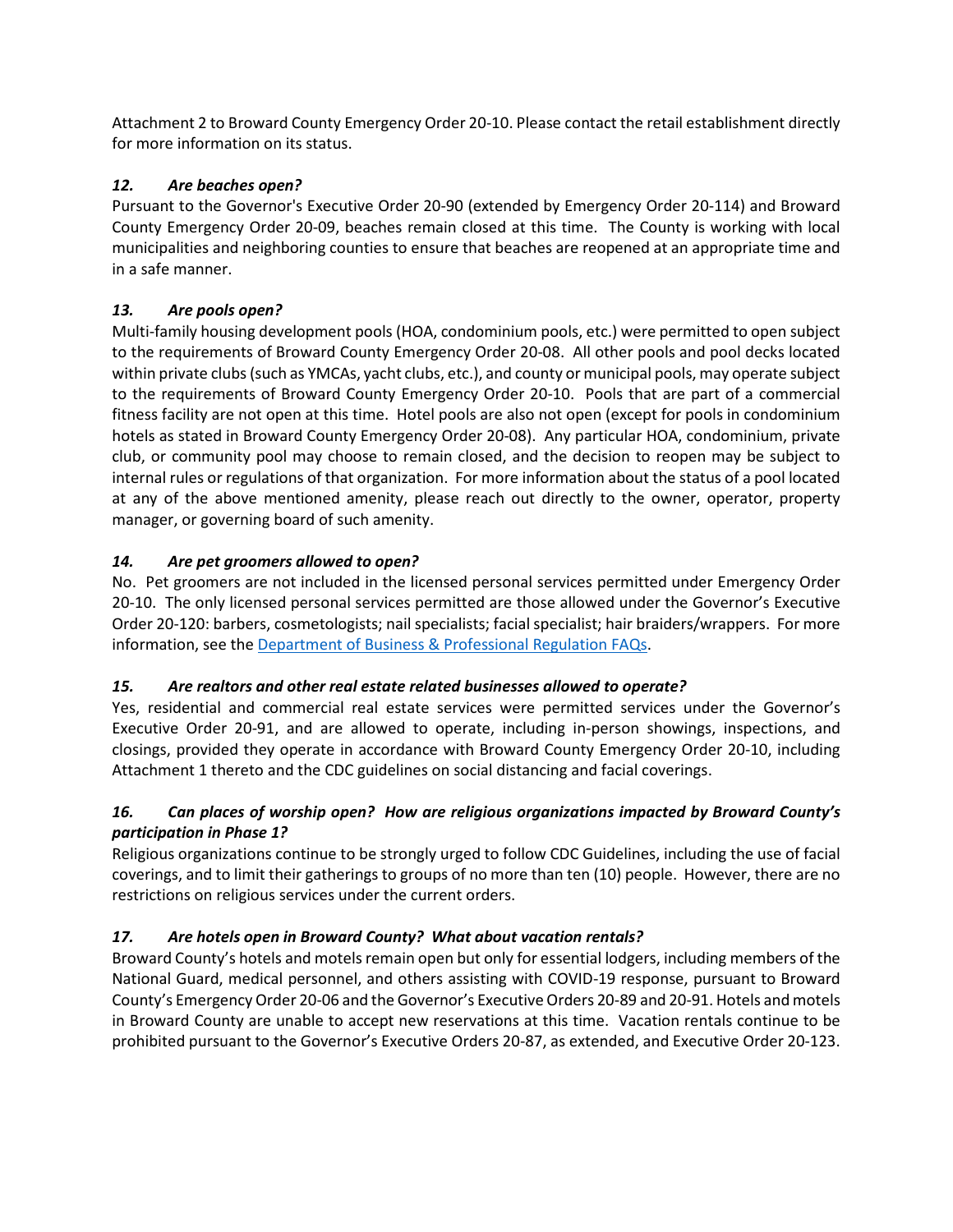Attachment 2 to Broward County Emergency Order 20-10. Please contact the retail establishment directly for more information on its status.

### *12. Are beaches open?*

Pursuant to the Governor's Executive Order 20-90 (extended by Emergency Order 20-114) and Broward County Emergency Order 20-09, beaches remain closed at this time. The County is working with local municipalities and neighboring counties to ensure that beaches are reopened at an appropriate time and in a safe manner.

### *13. Are pools open?*

Multi-family housing development pools (HOA, condominium pools, etc.) were permitted to open subject to the requirements of Broward County Emergency Order 20-08. All other pools and pool decks located within private clubs (such as YMCAs, yacht clubs, etc.), and county or municipal pools, may operate subject to the requirements of Broward County Emergency Order 20-10. Pools that are part of a commercial fitness facility are not open at this time. Hotel pools are also not open (except for pools in condominium hotels as stated in Broward County Emergency Order 20-08). Any particular HOA, condominium, private club, or community pool may choose to remain closed, and the decision to reopen may be subject to internal rules or regulations of that organization. For more information about the status of a pool located at any of the above mentioned amenity, please reach out directly to the owner, operator, property manager, or governing board of such amenity.

### *14. Are pet groomers allowed to open?*

No. Pet groomers are not included in the licensed personal services permitted under Emergency Order 20-10. The only licensed personal services permitted are those allowed under the Governor's Executive Order 20-120: barbers, cosmetologists; nail specialists; facial specialist; hair braiders/wrappers. For more information, see th[e Department of Business & Professional Regulation FAQs.](http://www.myfloridalicense.com/DBPR/os/documents/2020.05.09%20DBPR%20FAQs%20re%20Executive%20Order%2020-120.pdf)

#### *15. Are realtors and other real estate related businesses allowed to operate?*

Yes, residential and commercial real estate services were permitted services under the Governor's Executive Order 20-91, and are allowed to operate, including in-person showings, inspections, and closings, provided they operate in accordance with Broward County Emergency Order 20-10, including Attachment 1 thereto and the CDC guidelines on social distancing and facial coverings.

# *16. Can places of worship open? How are religious organizations impacted by Broward County's participation in Phase 1?*

Religious organizations continue to be strongly urged to follow CDC Guidelines, including the use of facial coverings, and to limit their gatherings to groups of no more than ten (10) people. However, there are no restrictions on religious services under the current orders.

# *17. Are hotels open in Broward County? What about vacation rentals?*

Broward County's hotels and motels remain open but only for essential lodgers, including members of the National Guard, medical personnel, and others assisting with COVID-19 response, pursuant to Broward County's Emergency Order 20-06 and the Governor's Executive Orders 20-89 and 20-91. Hotels and motels in Broward County are unable to accept new reservations at this time. Vacation rentals continue to be prohibited pursuant to the Governor's Executive Orders 20-87, as extended, and Executive Order 20-123.